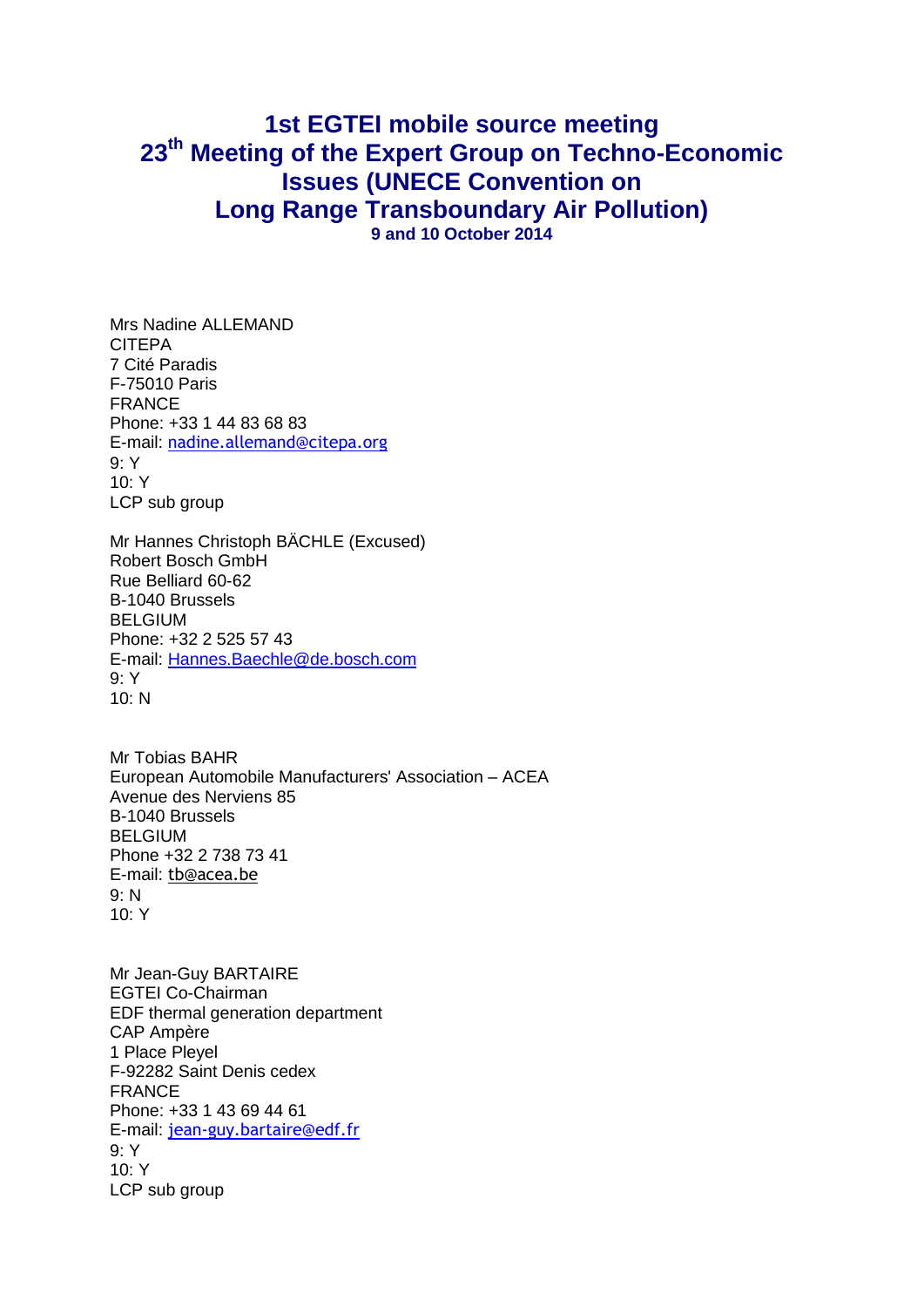## **1st EGTEI mobile source meeting 23 th Meeting of the Expert Group on Techno-Economic Issues (UNECE Convention on Long Range Transboundary Air Pollution) 9 and 10 October 2014**

Mrs Nadine ALLEMAND CITEPA 7 Cité Paradis F-75010 Paris FRANCE Phone: +33 1 44 83 68 83 E-mail: [nadine.allemand@citepa.org](mailto:nadine.allemand@citepa.org) 9: Y 10: Y LCP sub group

Mr Hannes Christoph BÄCHLE (Excused) Robert Bosch GmbH Rue Belliard 60-62 B-1040 Brussels BELGIUM Phone: +32 2 525 57 43 E-mail: [Hannes.Baechle@de.bosch.com](mailto:fixed-term.Hannes.Baechle@de.bosch.com) 9: Y  $10 \cdot N$ 

Mr Tobias BAHR European Automobile Manufacturers' Association – ACEA Avenue des Nerviens 85 B-1040 Brussels BELGIUM Phone +32 2 738 73 41 E-mail: [tb@acea.be](mailto:tb@acea.be) 9: N  $10·Y$ 

Mr Jean-Guy BARTAIRE EGTEI Co-Chairman EDF thermal generation department CAP Ampère 1 Place Pleyel F-92282 Saint Denis cedex FRANCE Phone: +33 1 43 69 44 61 E-mail: [jean-guy.bartaire@edf.fr](mailto:jean-guy.bartaire@edf.fr) 9: Y 10: Y LCP sub group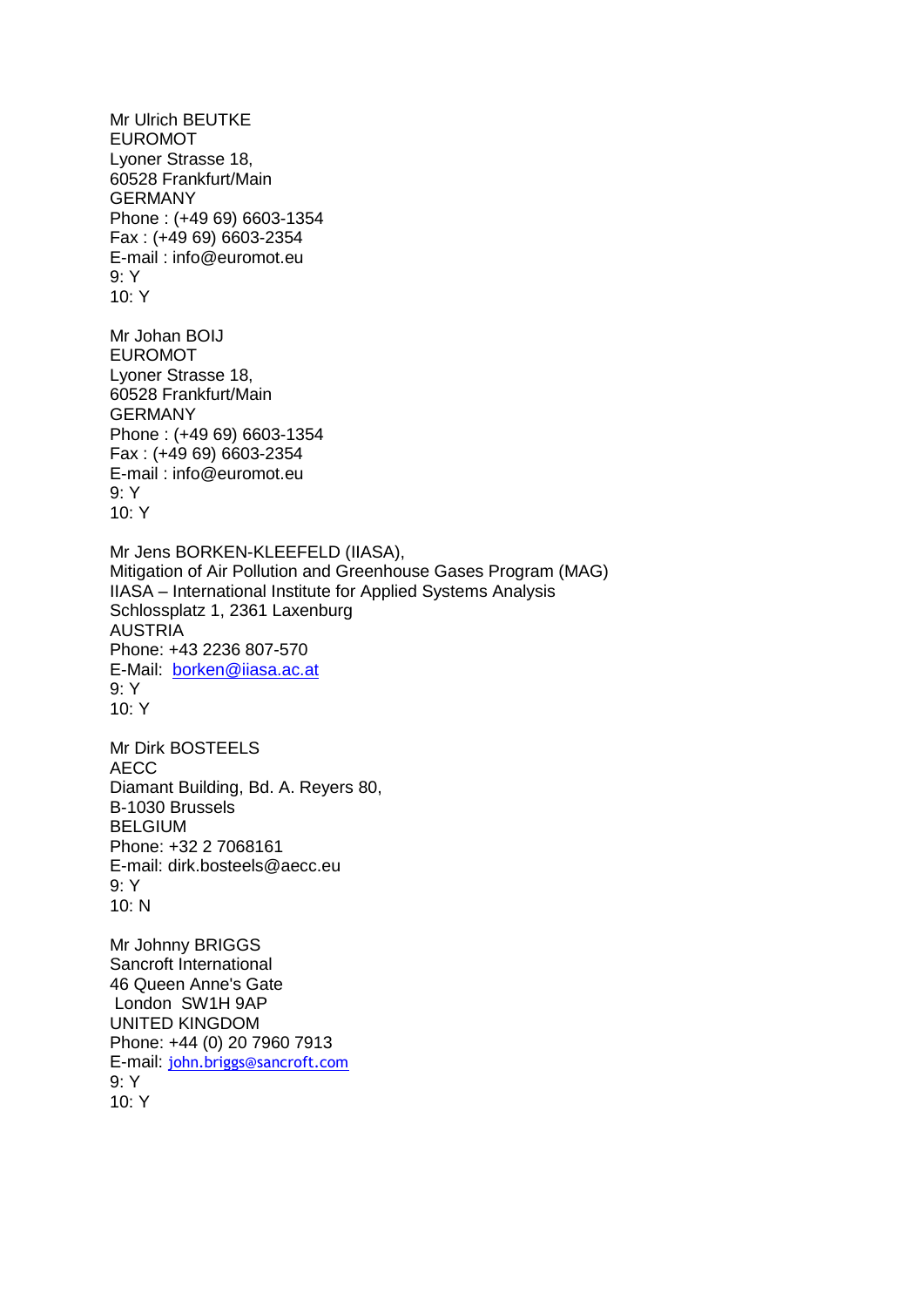Mr Ulrich BEUTKE EUROMOT Lyoner Strasse 18, 60528 Frankfurt/Main **GERMANY** Phone : (+49 69) 6603-1354 Fax : (+49 69) 6603-2354 E-mail : info@euromot.eu 9: Y 10: Y Mr Johan BOIJ EUROMOT Lyoner Strasse 18, 60528 Frankfurt/Main GERMANY Phone : (+49 69) 6603-1354 Fax : (+49 69) 6603-2354 E-mail : info@euromot.eu 9: Y 10: Y Mr Jens BORKEN-KLEEFELD (IIASA), Mitigation of Air Pollution and Greenhouse Gases Program (MAG) IIASA – International Institute for Applied Systems Analysis Schlossplatz 1, 2361 Laxenburg AUSTRIA Phone: +43 2236 807-570 E-Mail: [borken@iiasa.ac.at](mailto:borken@iiasa.ac.at) 9: Y  $10·Y$ Mr Dirk BOSTEELS AECC Diamant Building, Bd. A. Reyers 80, B-1030 Brussels BELGIUM Phone: +32 2 7068161 E-mail: dirk.bosteels@aecc.eu 9: Y 10: N Mr Johnny BRIGGS Sancroft International 46 Queen Anne's Gate London SW1H 9AP UNITED KINGDOM Phone: +44 (0) 20 7960 7913 E-mail: [john.briggs@sancroft.com](mailto:john.briggs@sancroft.com) 9: Y 10: Y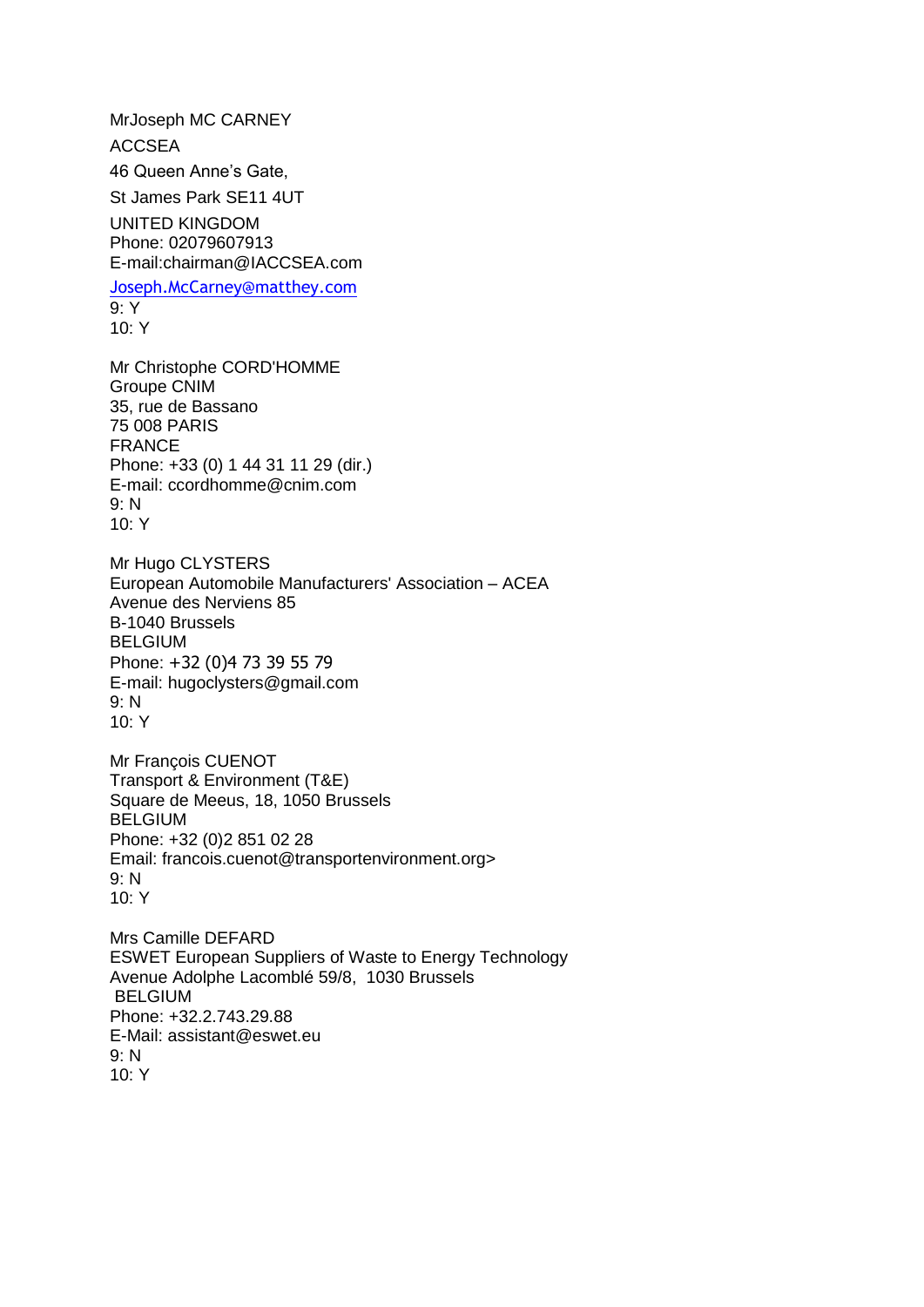MrJoseph MC CARNEY ACCSEA 46 Queen Anne's Gate, St James Park SE11 4UT UNITED KINGDOM Phone: 02079607913 E-mail:chairman@IACCSEA.com [Joseph.McCarney@matthey.com](mailto:Joseph.McCarney@matthey.com) 9: Y  $10: Y$ Mr Christophe CORD'HOMME Groupe CNIM 35, rue de Bassano 75 008 PARIS FRANCE Phone: +33 (0) 1 44 31 11 29 (dir.) E-mail: ccordhomme@cnim.com 9: N 10: Y Mr Hugo CLYSTERS European Automobile Manufacturers' Association – ACEA Avenue des Nerviens 85 B-1040 Brussels **BELGIUM** Phone: +32 (0)4 73 39 55 79 E-mail: hugoclysters@gmail.com 9: N 10: Y Mr François CUENOT Transport & [Environment](http://www.transportenvironment.org/) (T&E) Square de Meeus, 18, 1050 Brussels BELGIUM Phone: +32 (0)2 851 02 28 Email: francois.cuenot@transportenvironment.org> 9: N  $10: Y$ Mrs Camille DEFARD ESWET European Suppliers of Waste to Energy Technology Avenue Adolphe Lacomblé 59/8, 1030 Brussels BELGIUM Phone: +32.2.743.29.88 E-Mail: assistant@eswet.eu 9: N 10: Y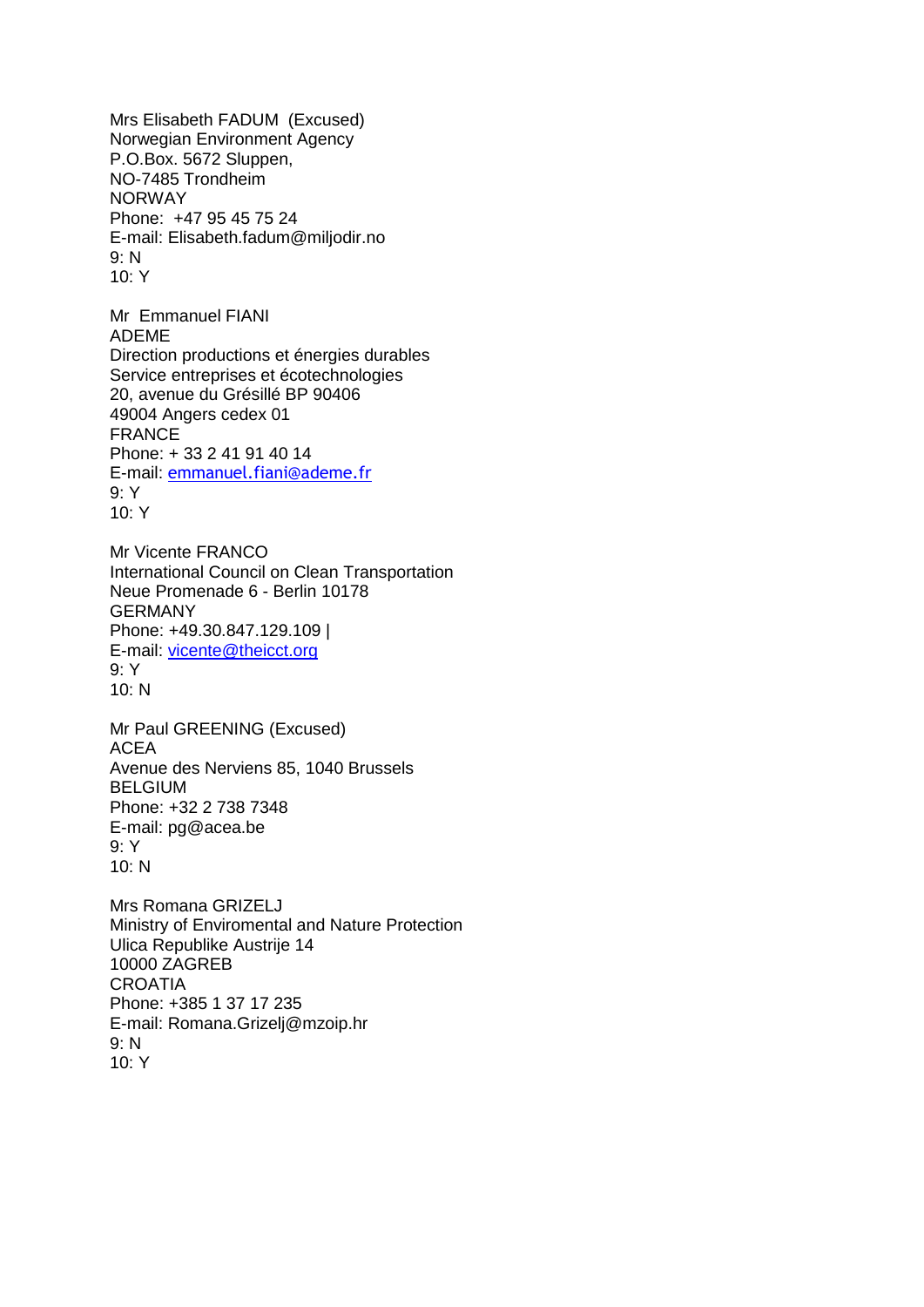Mrs Elisabeth FADUM (Excused) Norwegian Environment Agency P.O.Box. 5672 Sluppen, NO-7485 Trondheim NORWAY Phone: +47 95 45 75 24 E-mail: Elisabeth.fadum@miljodir.no 9: N 10: Y Mr Emmanuel FIANI ADEME Direction productions et énergies durables Service entreprises et écotechnologies 20, avenue du Grésillé BP 90406 49004 Angers cedex 01 FRANCE Phone: + 33 2 41 91 40 14 E-mail: [emmanuel.fiani@ademe.fr](mailto:emmanuel.fiani@ademe.fr) 9: Y 10: Y Mr Vicente FRANCO International Council on Clean Transportation Neue Promenade 6 - Berlin 10178 GERMANY Phone: +49.30.847.129.109 | E-mail: [vicente@theicct.org](mailto:vicente@theicct.org) 9: Y 10: N Mr Paul GREENING (Excused) ACEA Avenue des Nerviens 85, 1040 Brussels BELGIUM Phone: +32 2 738 7348 E-mail: pg@acea.be 9: Y 10: N Mrs Romana GRIZELJ Ministry of Enviromental and Nature Protection Ulica Republike Austrije 14 10000 ZAGREB **CROATIA** Phone: +385 1 37 17 235 E-mail: Romana.Grizelj@mzoip.hr 9: N 10: Y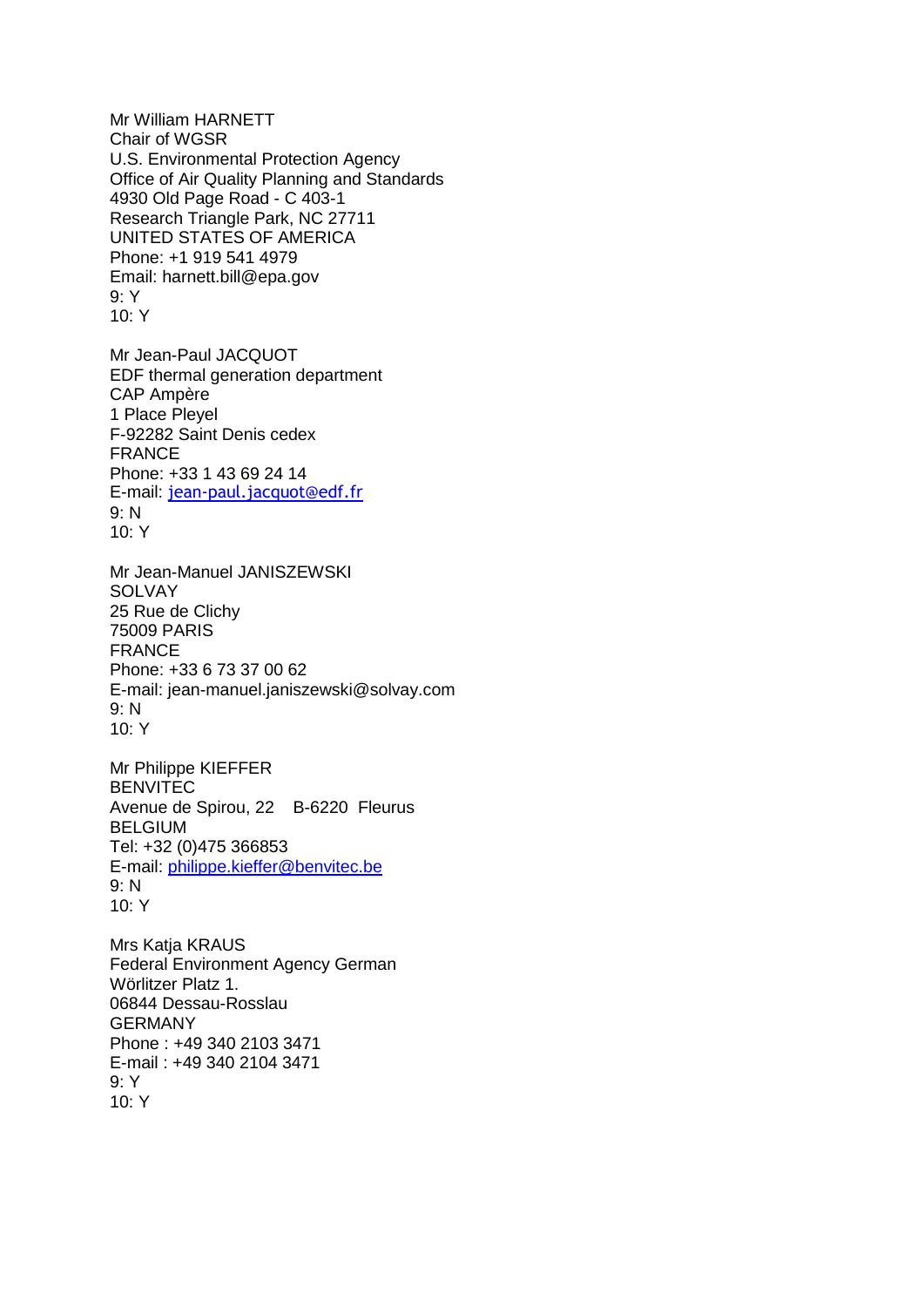Mr William HARNETT Chair of WGSR U.S. Environmental Protection Agency Office of Air Quality Planning and Standards 4930 Old Page Road - C 403-1 Research Triangle Park, NC 27711 UNITED STATES OF AMERICA Phone: +1 919 541 4979 Email: harnett.bill@epa.gov 9: Y 10: Y

Mr Jean-Paul JACQUOT EDF thermal generation department CAP Ampère 1 Place Pleyel F-92282 Saint Denis cedex FRANCE Phone: +33 1 43 69 24 14 E-mail: [jean-paul.jacquot@edf.fr](mailto:jean-paul.jacquot@edf.fr) 9: N 10: Y

Mr Jean-Manuel JANISZEWSKI **SOLVAY** 25 Rue de Clichy 75009 PARIS FRANCE Phone: +33 6 73 37 00 62 E-mail: jean-manuel.janiszewski@solvay.com 9: N  $10·Y$ 

Mr Philippe KIEFFER BENVITEC Avenue de Spirou, 22 B-6220 Fleurus BELGIUM Tel: +32 (0)475 366853 E-mail: [philippe.kieffer@benvitec.be](mailto:philippe.kieffer@benvitec.be) 9: N 10: Y

Mrs Katia KRAUS Federal Environment Agency German Wörlitzer Platz 1. 06844 Dessau-Rosslau GERMANY Phone : +49 340 2103 3471 E-mail : +49 340 2104 3471 9: Y 10: Y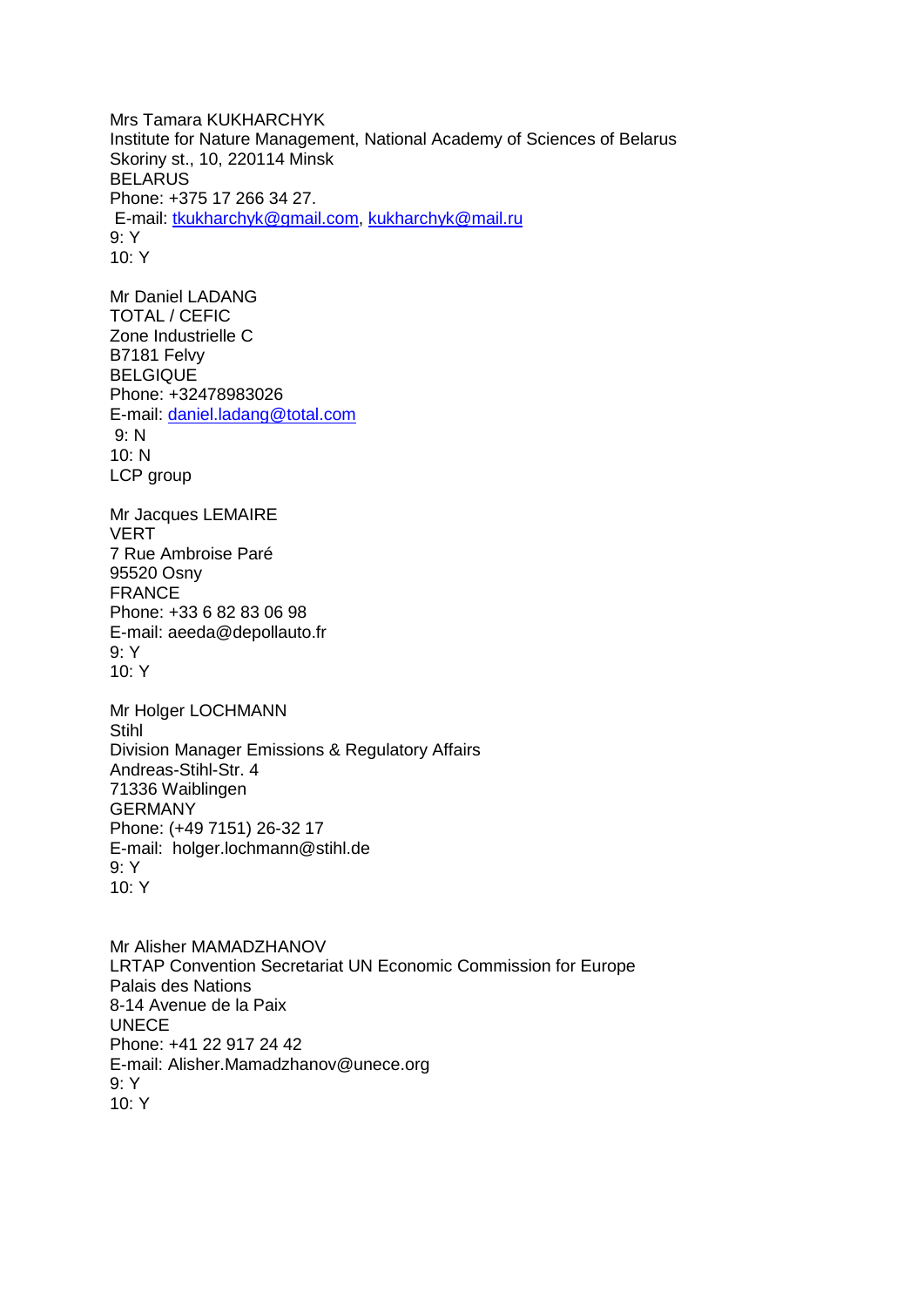Mrs Tamara KUKHARCHYK Institute for Nature Management, National Academy of Sciences of Belarus Skoriny st., 10, 220114 Minsk **BELARUS** Phone: +375 17 266 34 27. E-mail: [tkukharchyk@gmail.com,](mailto:tkukharchyk@gmail.com) [kukharchyk@mail.ru](mailto:kukharchyk@mail.ru) 9: Y 10: Y

Mr Daniel LADANG TOTAL / CEFIC Zone Industrielle C B7181 Felvy BELGIQUE Phone: +32478983026 E-mail: [daniel.ladang@total.com](mailto:daniel.ladang@total.com) 9: N 10: N LCP group

Mr Jacques LEMAIRE VERT 7 Rue Ambroise Paré 95520 Osny FRANCE Phone: +33 6 82 83 06 98 E-mail: aeeda@depollauto.fr 9: Y 10: Y

Mr Holger LOCHMANN **Stihl** Division Manager Emissions & Regulatory Affairs Andreas-Stihl-Str. 4 71336 Waiblingen GERMANY Phone: (+49 7151) 26-32 17 E-mail: holger.lochmann@stihl.de 9: Y 10: Y

Mr Alisher MAMADZHANOV LRTAP Convention Secretariat UN Economic Commission for Europe Palais des Nations 8-14 Avenue de la Paix UNECE Phone: +41 22 917 24 42 E-mail: Alisher.Mamadzhanov@unece.org 9: Y  $10·Y$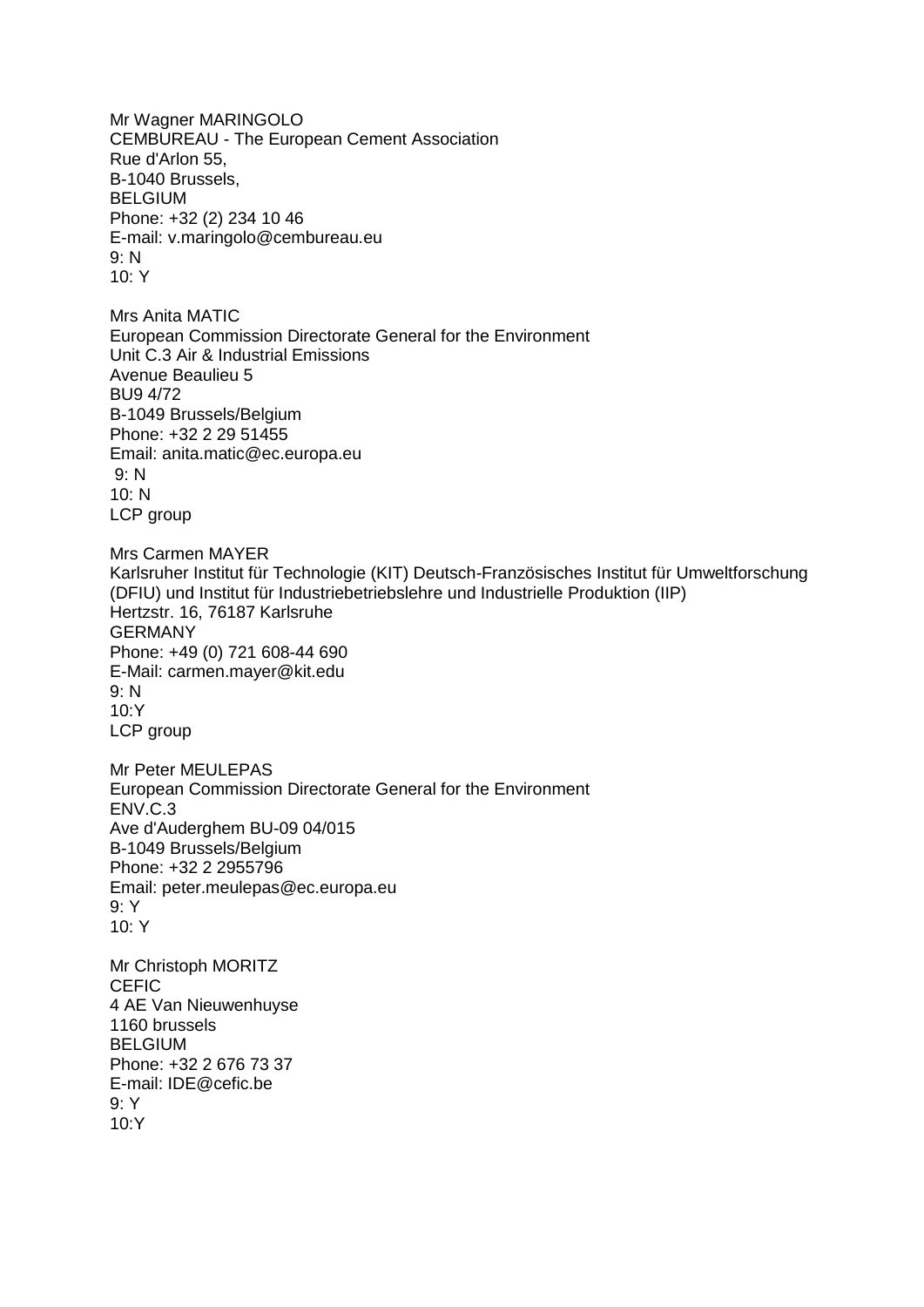Mr Wagner MARINGOLO CEMBUREAU - The European Cement Association Rue d'Arlon 55, B-1040 Brussels, **BELGIUM** Phone: +32 (2) 234 10 46 E-mail: v.maringolo@cembureau.eu 9: N  $10·Y$ Mrs Anita MATIC European Commission Directorate General for the Environment Unit C.3 Air & Industrial Emissions Avenue Beaulieu 5 BU9 4/72 B-1049 Brussels/Belgium Phone: +32 2 29 51455 Email: anita.matic@ec.europa.eu 9: N  $10: N$ LCP group Mrs Carmen MAYER Karlsruher Institut für Technologie (KIT) Deutsch-Französisches Institut für Umweltforschung (DFIU) und Institut für Industriebetriebslehre und Industrielle Produktion (IIP) Hertzstr. 16, 76187 Karlsruhe GERMANY Phone: +49 (0) 721 608-44 690 E-Mail: carmen.mayer@kit.edu 9: N  $10Y$ LCP group Mr Peter MEULEPAS European Commission Directorate General for the Environment ENV.C.3 Ave d'Auderghem BU-09 04/015 B-1049 Brussels/Belgium Phone: +32 2 2955796 Email: peter.meulepas@ec.europa.eu 9: Y 10: Y Mr Christoph MORITZ **CEFIC** 4 AE Van Nieuwenhuyse 1160 brussels **BELGIUM** Phone: +32 2 676 73 37 E-mail: IDE@cefic.be  $9 \cdot Y$ 10:Y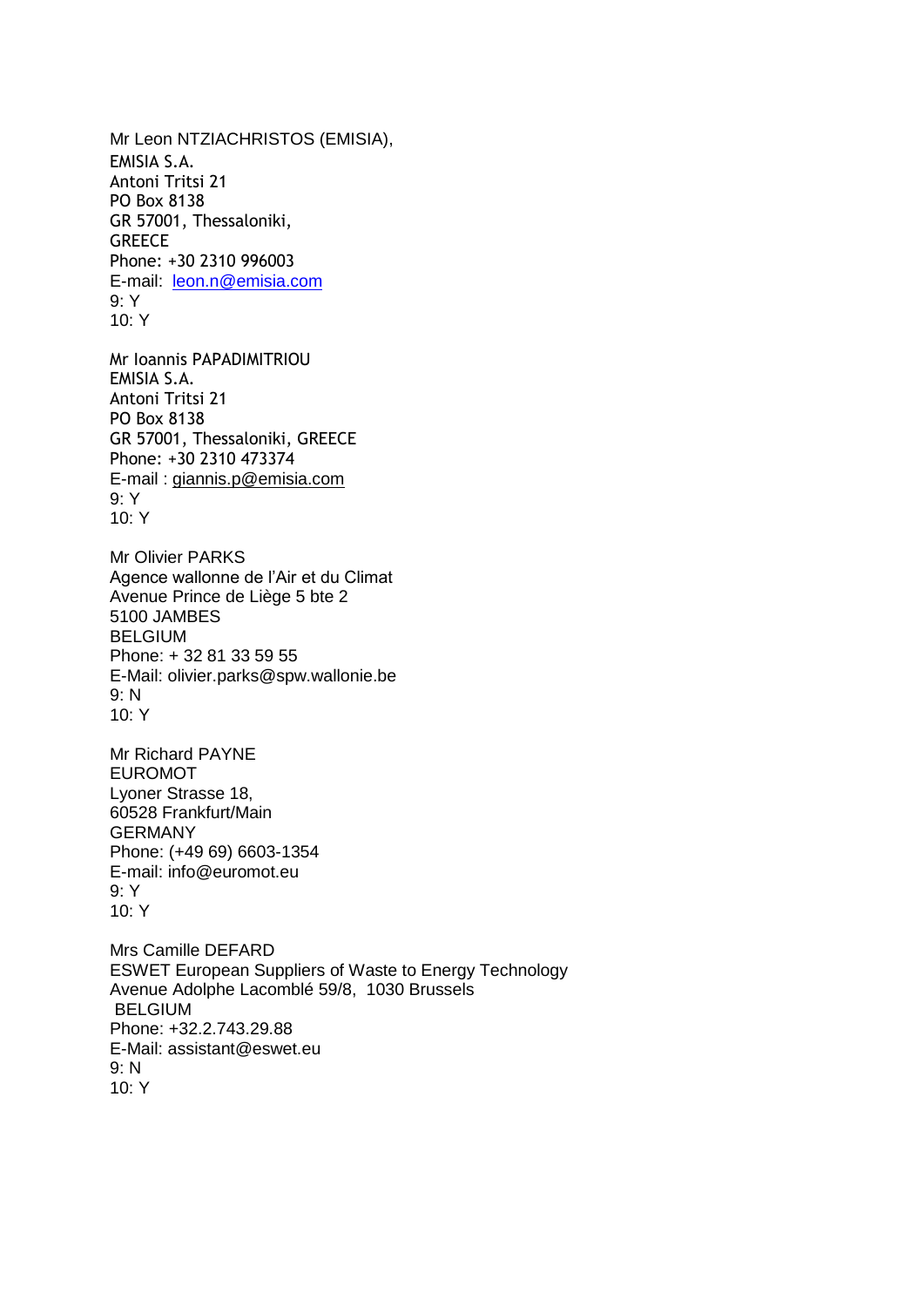Mr Leon NTZIACHRISTOS (EMISIA), EMISIA S.A. Antoni Tritsi 21 PO Box 8138 GR 57001, Thessaloniki, **GREECE** Phone: +30 2310 996003 E-mail: [leon.n@emisia.com](mailto:leon.n@emisia.com) 9: Y  $10: Y$ Mr Ioannis PAPADIMITRIOU EMISIA S.A. Antoni Tritsi 21 PO Box 8138 GR 57001, Thessaloniki, GREECE Phone: +30 2310 473374 E-mail : [giannis.p@emisia.com](mailto:giannis.p@emisia.com) 9: Y 10: Y Mr Olivier PARKS Agence wallonne de l'Air et du Climat Avenue Prince de Liège 5 bte 2 5100 JAMBES **BELGIUM** Phone: + 32 81 33 59 55 E-Mail: olivier.parks@spw.wallonie.be 9: N 10: Y Mr Richard PAYNE EUROMOT Lyoner Strasse 18, 60528 Frankfurt/Main GERMANY Phone: (+49 69) 6603-1354 E-mail: info@euromot.eu 9: Y  $10·Y$ Mrs Camille DEFARD ESWET European Suppliers of Waste to Energy Technology Avenue Adolphe Lacomblé 59/8, 1030 Brussels BELGIUM Phone: +32.2.743.29.88 E-Mail: assistant@eswet.eu 9: N 10: Y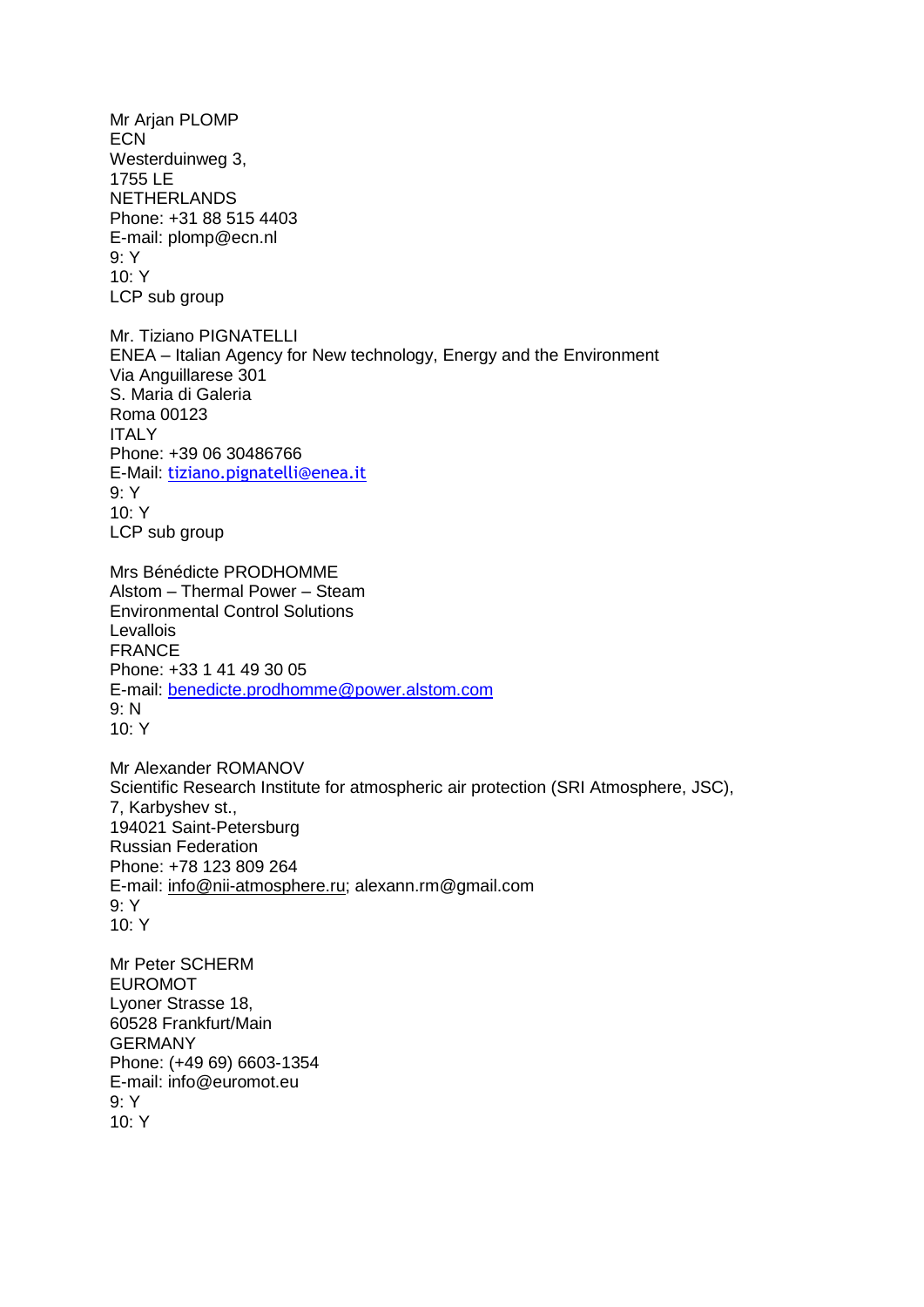Mr Arjan PLOMP **ECN** Westerduinweg 3, 1755 LE NETHERLANDS Phone: +31 88 515 4403 E-mail: plomp@ecn.nl 9: Y 10: Y LCP sub group Mr. Tiziano PIGNATELLI ENEA – Italian Agency for New technology, Energy and the Environment Via Anguillarese 301 S. Maria di Galeria Roma 00123 **ITALY** Phone: +39 06 30486766 E-Mail: [tiziano.pignatelli@enea.it](mailto:tiziano.pignatelli@enea.it) 9: Y 10: Y LCP sub group Mrs Bénédicte PRODHOMME Alstom – Thermal Power – Steam Environmental Control Solutions Levallois FRANCE Phone: +33 1 41 49 30 05 E-mail: [benedicte.prodhomme@power.alstom.com](mailto:benedicte.prodhomme@power.alstom.com) 9: N  $10·Y$ Mr Alexander ROMANOV Scientific Research Institute for atmospheric air protection (SRI Atmosphere, JSC), 7, Karbyshev st., 194021 Saint-Petersburg Russian Federation Phone: +78 123 809 264 E-mail: [info@nii-atmosphere.ru;](mailto:info@nii-atmosphere.ru) alexann.rm@gmail.com 9: Y  $10·Y$ Mr Peter SCHERM EUROMOT Lyoner Strasse 18, 60528 Frankfurt/Main GERMANY Phone: (+49 69) 6603-1354 E-mail: info@euromot.eu 9: Y  $10·Y$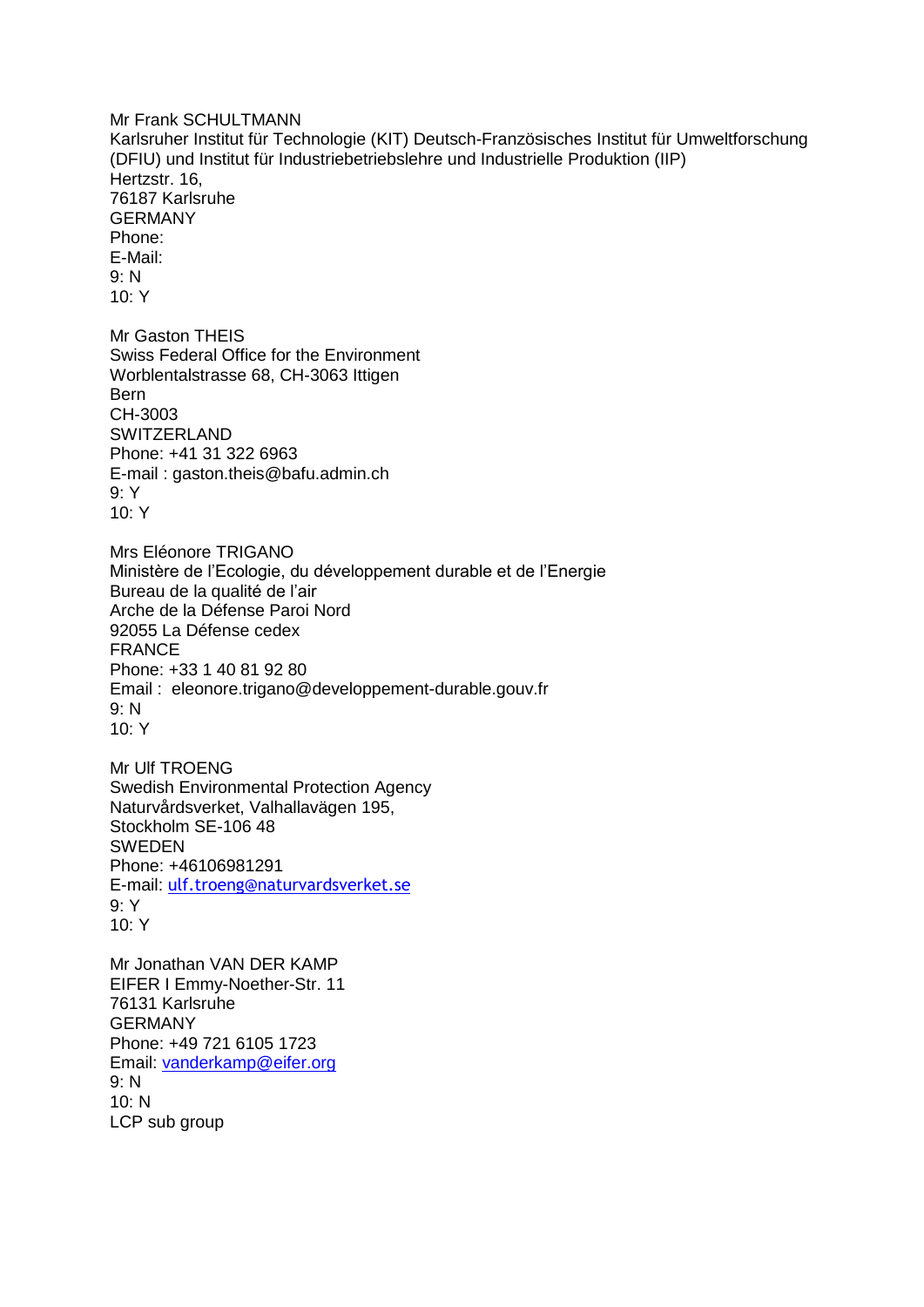Mr Frank SCHULTMANN Karlsruher Institut für Technologie (KIT) Deutsch-Französisches Institut für Umweltforschung (DFIU) und Institut für Industriebetriebslehre und Industrielle Produktion (IIP) Hertzstr. 16, 76187 Karlsruhe GERMANY Phone: E-Mail: 9: N 10: Y Mr Gaston THEIS Swiss Federal Office for the Environment Worblentalstrasse 68, CH-3063 Ittigen Bern CH-3003 **SWITZERLAND** Phone: +41 31 322 6963 E-mail : gaston.theis@bafu.admin.ch 9: Y 10: Y Mrs Eléonore TRIGANO Ministère de l'Ecologie, du développement durable et de l'Energie Bureau de la qualité de l'air Arche de la Défense Paroi Nord 92055 La Défense cedex FRANCE Phone: +33 1 40 81 92 80 Email : eleonore.trigano@developpement-durable.gouv.fr 9: N  $10·Y$ Mr Ulf TROENG Swedish Environmental Protection Agency Naturvårdsverket, Valhallavägen 195, Stockholm SE-106 48 **SWEDEN** Phone: +46106981291 E-mail: [ulf.troeng@naturvardsverket.se](mailto:ulf.troeng@naturvardsverket.se) 9: Y  $10·Y$ Mr Jonathan VAN DER KAMP EIFER I Emmy-Noether-Str. 11 76131 Karlsruhe GERMANY Phone: +49 721 6105 1723 Email: [vanderkamp@eifer.org](mailto:vanderkamp@eifer.org) 9: N 10: N LCP sub group